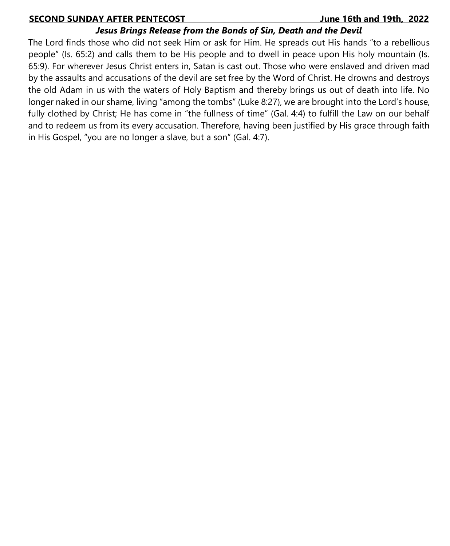### **SECOND SUNDAY AFTER PENTECOST\_\_\_\_\_\_\_\_\_\_\_\_\_\_\_\_\_\_\_\_\_\_\_\_\_\_\_\_\_\_\_\_\_\_\_ June 16th and 19th, 2022**

### *Jesus Brings Release from the Bonds of Sin, Death and the Devil*

The Lord finds those who did not seek Him or ask for Him. He spreads out His hands "to a rebellious people" (Is. 65:2) and calls them to be His people and to dwell in peace upon His holy mountain (Is. 65:9). For wherever Jesus Christ enters in, Satan is cast out. Those who were enslaved and driven mad by the assaults and accusations of the devil are set free by the Word of Christ. He drowns and destroys the old Adam in us with the waters of Holy Baptism and thereby brings us out of death into life. No longer naked in our shame, living "among the tombs" (Luke 8:27), we are brought into the Lord's house, fully clothed by Christ; He has come in "the fullness of time" (Gal. 4:4) to fulfill the Law on our behalf and to redeem us from its every accusation. Therefore, having been justified by His grace through faith in His Gospel, "you are no longer a slave, but a son" (Gal. 4:7).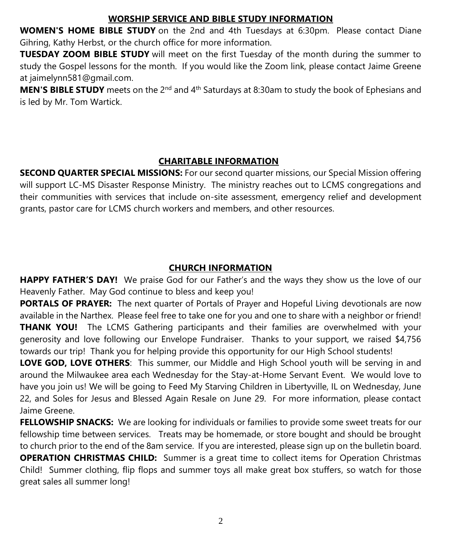# **WORSHIP SERVICE AND BIBLE STUDY INFORMATION**

**WOMEN'S HOME BIBLE STUDY** on the 2nd and 4th Tuesdays at 6:30pm. Please contact Diane Gihring, Kathy Herbst, or the church office for more information.

**TUESDAY ZOOM BIBLE STUDY** will meet on the first Tuesday of the month during the summer to study the Gospel lessons for the month. If you would like the Zoom link, please contact Jaime Greene at jaimelynn581@gmail.com.

**MEN'S BIBLE STUDY** meets on the 2<sup>nd</sup> and 4<sup>th</sup> Saturdays at 8:30am to study the book of Ephesians and is led by Mr. Tom Wartick.

# **CHARITABLE INFORMATION**

**SECOND QUARTER SPECIAL MISSIONS:** For our second quarter missions, our Special Mission offering will support LC-MS Disaster Response Ministry. The ministry reaches out to LCMS congregations and their communities with services that include on-site assessment, emergency relief and development grants, pastor care for LCMS church workers and members, and other resources.

# **CHURCH INFORMATION**

**HAPPY FATHER'S DAY!** We praise God for our Father's and the ways they show us the love of our Heavenly Father. May God continue to bless and keep you!

**PORTALS OF PRAYER:** The next quarter of Portals of Prayer and Hopeful Living devotionals are now available in the Narthex. Please feel free to take one for you and one to share with a neighbor or friend! **THANK YOU!** The LCMS Gathering participants and their families are overwhelmed with your generosity and love following our Envelope Fundraiser. Thanks to your support, we raised \$4,756 towards our trip! Thank you for helping provide this opportunity for our High School students!

**LOVE GOD, LOVE OTHERS**: This summer, our Middle and High School youth will be serving in and around the Milwaukee area each Wednesday for the Stay-at-Home Servant Event. We would love to have you join us! We will be going to Feed My Starving Children in Libertyville, IL on Wednesday, June 22, and Soles for Jesus and Blessed Again Resale on June 29. For more information, please contact Jaime Greene.

**FELLOWSHIP SNACKS:** We are looking for individuals or families to provide some sweet treats for our fellowship time between services. Treats may be homemade, or store bought and should be brought to church prior to the end of the 8am service. If you are interested, please sign up on the bulletin board. **OPERATION CHRISTMAS CHILD:** Summer is a great time to collect items for Operation Christmas Child! Summer clothing, flip flops and summer toys all make great box stuffers, so watch for those great sales all summer long!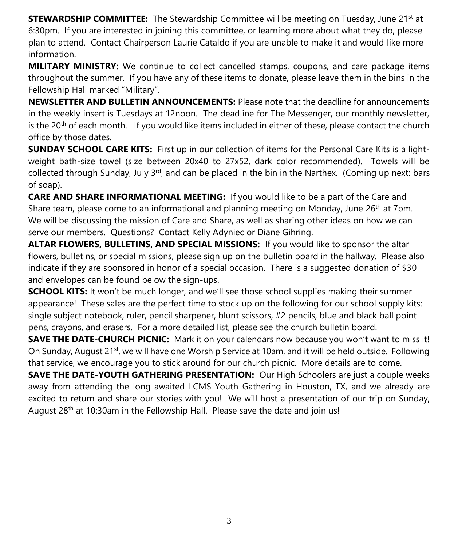**STEWARDSHIP COMMITTEE:** The Stewardship Committee will be meeting on Tuesday, June 21<sup>st</sup> at 6:30pm. If you are interested in joining this committee, or learning more about what they do, please plan to attend. Contact Chairperson Laurie Cataldo if you are unable to make it and would like more information.

**MILITARY MINISTRY:** We continue to collect cancelled stamps, coupons, and care package items throughout the summer. If you have any of these items to donate, please leave them in the bins in the Fellowship Hall marked "Military".

**NEWSLETTER AND BULLETIN ANNOUNCEMENTS:** Please note that the deadline for announcements in the weekly insert is Tuesdays at 12noon. The deadline for The Messenger, our monthly newsletter, is the  $20<sup>th</sup>$  of each month. If you would like items included in either of these, please contact the church office by those dates.

**SUNDAY SCHOOL CARE KITS:** First up in our collection of items for the Personal Care Kits is a lightweight bath-size towel (size between 20x40 to 27x52, dark color recommended). Towels will be collected through Sunday, July  $3<sup>rd</sup>$ , and can be placed in the bin in the Narthex. (Coming up next: bars of soap).

**CARE AND SHARE INFORMATIONAL MEETING:** If you would like to be a part of the Care and Share team, please come to an informational and planning meeting on Monday, June  $26<sup>th</sup>$  at 7pm. We will be discussing the mission of Care and Share, as well as sharing other ideas on how we can serve our members. Questions? Contact Kelly Adyniec or Diane Gihring.

**ALTAR FLOWERS, BULLETINS, AND SPECIAL MISSIONS:** If you would like to sponsor the altar flowers, bulletins, or special missions, please sign up on the bulletin board in the hallway. Please also indicate if they are sponsored in honor of a special occasion. There is a suggested donation of \$30 and envelopes can be found below the sign-ups.

**SCHOOL KITS:** It won't be much longer, and we'll see those school supplies making their summer appearance! These sales are the perfect time to stock up on the following for our school supply kits: single subject notebook, ruler, pencil sharpener, blunt scissors, #2 pencils, blue and black ball point pens, crayons, and erasers. For a more detailed list, please see the church bulletin board.

**SAVE THE DATE-CHURCH PICNIC:** Mark it on your calendars now because you won't want to miss it! On Sunday, August 21<sup>st</sup>, we will have one Worship Service at 10am, and it will be held outside. Following that service, we encourage you to stick around for our church picnic. More details are to come.

**SAVE THE DATE-YOUTH GATHERING PRESENTATION:** Our High Schoolers are just a couple weeks away from attending the long-awaited LCMS Youth Gathering in Houston, TX, and we already are excited to return and share our stories with you! We will host a presentation of our trip on Sunday, August 28th at 10:30am in the Fellowship Hall. Please save the date and join us!